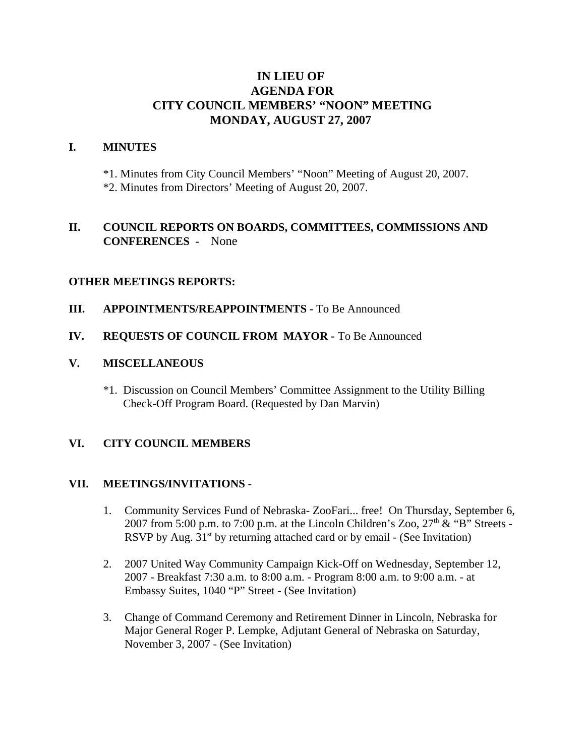# **IN LIEU OF AGENDA FOR CITY COUNCIL MEMBERS' "NOON" MEETING MONDAY, AUGUST 27, 2007**

#### **I. MINUTES**

\*1. Minutes from City Council Members' "Noon" Meeting of August 20, 2007. \*2. Minutes from Directors' Meeting of August 20, 2007.

# **II. COUNCIL REPORTS ON BOARDS, COMMITTEES, COMMISSIONS AND CONFERENCES -** None

## **OTHER MEETINGS REPORTS:**

#### **III.** APPOINTMENTS/REAPPOINTMENTS - To Be Announced

## **IV. REQUESTS OF COUNCIL FROM MAYOR -** To Be Announced

## **V. MISCELLANEOUS**

\*1. Discussion on Council Members' Committee Assignment to the Utility Billing Check-Off Program Board. (Requested by Dan Marvin)

# **VI. CITY COUNCIL MEMBERS**

#### **VII. MEETINGS/INVITATIONS** -

- 1. Community Services Fund of Nebraska- ZooFari... free! On Thursday, September 6, 2007 from 5:00 p.m. to 7:00 p.m. at the Lincoln Children's Zoo,  $27<sup>th</sup>$  & "B" Streets -RSVP by Aug.  $31<sup>st</sup>$  by returning attached card or by email - (See Invitation)
- 2. 2007 United Way Community Campaign Kick-Off on Wednesday, September 12, 2007 - Breakfast 7:30 a.m. to 8:00 a.m. - Program 8:00 a.m. to 9:00 a.m. - at Embassy Suites, 1040 "P" Street - (See Invitation)
- 3. Change of Command Ceremony and Retirement Dinner in Lincoln, Nebraska for Major General Roger P. Lempke, Adjutant General of Nebraska on Saturday, November 3, 2007 - (See Invitation)